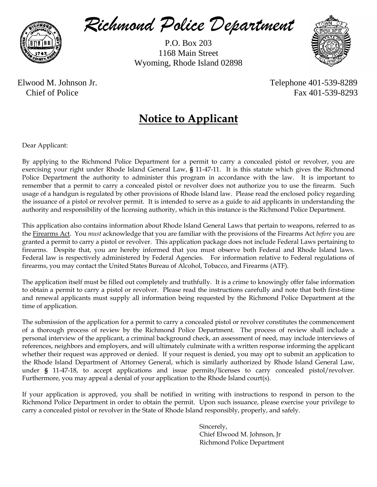

*Richmond Police Department*

P.O. Box 203 1168 Main Street Wyoming, Rhode Island 02898



 Elwood M. Johnson Jr. Telephone 401-539-8289 Chief of Police Fax 401-539-8293

# **Notice to Applicant**

Dear Applicant:

By applying to the Richmond Police Department for a permit to carry a concealed pistol or revolver, you are exercising your right under Rhode Island General Law, **§** 11-47-11. It is this statute which gives the Richmond Police Department the authority to administer this program in accordance with the law. It is important to remember that a permit to carry a concealed pistol or revolver does not authorize you to use the firearm. Such usage of a handgun is regulated by other provisions of Rhode Island law. Please read the enclosed policy regarding the issuance of a pistol or revolver permit. It is intended to serve as a guide to aid applicants in understanding the authority and responsibility of the licensing authority, which in this instance is the Richmond Police Department.

This application also contains information about Rhode Island General Laws that pertain to weapons, referred to as the Firearms Act. You *must* acknowledge that you are familiar with the provisions of the Firearms Act *before* you are granted a permit to carry a pistol or revolver. This application package does not include Federal Laws pertaining to firearms. Despite that, you are hereby informed that you must observe both Federal and Rhode Island laws. Federal law is respectively administered by Federal Agencies. For information relative to Federal regulations of firearms, you may contact the United States Bureau of Alcohol, Tobacco, and Firearms (ATF).

The application itself must be filled out completely and truthfully. It is a crime to knowingly offer false information to obtain a permit to carry a pistol or revolver. Please read the instructions carefully and note that both first-time and renewal applicants must supply all information being requested by the Richmond Police Department at the time of application.

The submission of the application for a permit to carry a concealed pistol or revolver constitutes the commencement of a thorough process of review by the Richmond Police Department. The process of review shall include a personal interview of the applicant, a criminal background check, an assessment of need, may include interviews of references, neighbors and employers, and will ultimately culminate with a written response informing the applicant whether their request was approved or denied. If your request is denied, you may opt to submit an application to the Rhode Island Department of Attorney General, which is similarly authorized by Rhode Island General Law, under **§** 11-47-18, to accept applications and issue permits/licenses to carry concealed pistol/revolver. Furthermore, you may appeal a denial of your application to the Rhode Island court(s).

If your application is approved, you shall be notified in writing with instructions to respond in person to the Richmond Police Department in order to obtain the permit. Upon such issuance, please exercise your privilege to carry a concealed pistol or revolver in the State of Rhode Island responsibly, properly, and safely.

> Sincerely, Chief Elwood M. Johnson, Jr Richmond Police Department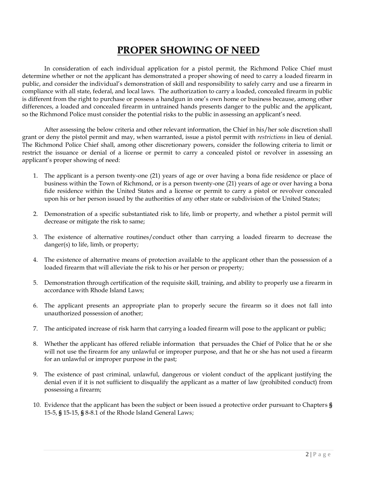## **PROPER SHOWING OF NEED**

In consideration of each individual application for a pistol permit, the Richmond Police Chief must determine whether or not the applicant has demonstrated a proper showing of need to carry a loaded firearm in public, and consider the individual's demonstration of skill and responsibility to safely carry and use a firearm in compliance with all state, federal, and local laws. The authorization to carry a loaded, concealed firearm in public is different from the right to purchase or possess a handgun in one's own home or business because, among other differences, a loaded and concealed firearm in untrained hands presents danger to the public and the applicant, so the Richmond Police must consider the potential risks to the public in assessing an applicant's need.

After assessing the below criteria and other relevant information, the Chief in his/her sole discretion shall grant or deny the pistol permit and may, when warranted, issue a pistol permit with *restrictions* in lieu of denial. The Richmond Police Chief shall, among other discretionary powers, consider the following criteria to limit or restrict the issuance or denial of a license or permit to carry a concealed pistol or revolver in assessing an applicant's proper showing of need:

- 1. The applicant is a person twenty-one (21) years of age or over having a bona fide residence or place of business within the Town of Richmond, or is a person twenty-one (21) years of age or over having a bona fide residence within the United States and a license or permit to carry a pistol or revolver concealed upon his or her person issued by the authorities of any other state or subdivision of the United States;
- 2. Demonstration of a specific substantiated risk to life, limb or property, and whether a pistol permit will decrease or mitigate the risk to same;
- 3. The existence of alternative routines/conduct other than carrying a loaded firearm to decrease the danger(s) to life, limb, or property;
- 4. The existence of alternative means of protection available to the applicant other than the possession of a loaded firearm that will alleviate the risk to his or her person or property;
- 5. Demonstration through certification of the requisite skill, training, and ability to properly use a firearm in accordance with Rhode Island Laws;
- 6. The applicant presents an appropriate plan to properly secure the firearm so it does not fall into unauthorized possession of another;
- 7. The anticipated increase of risk harm that carrying a loaded firearm will pose to the applicant or public;
- 8. Whether the applicant has offered reliable information that persuades the Chief of Police that he or she will not use the firearm for any unlawful or improper purpose, and that he or she has not used a firearm for an unlawful or improper purpose in the past;
- 9. The existence of past criminal, unlawful, dangerous or violent conduct of the applicant justifying the denial even if it is not sufficient to disqualify the applicant as a matter of law (prohibited conduct) from possessing a firearm;
- 10. Evidence that the applicant has been the subject or been issued a protective order pursuant to Chapters **§** 15-5, **§** 15-15, **§** 8-8.1 of the Rhode Island General Laws;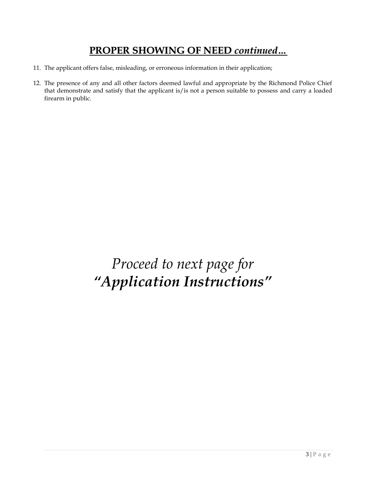# **PROPER SHOWING OF NEED** *continued…*

- 11. The applicant offers false, misleading, or erroneous information in their application;
- 12. The presence of any and all other factors deemed lawful and appropriate by the Richmond Police Chief that demonstrate and satisfy that the applicant is/is not a person suitable to possess and carry a loaded firearm in public.

*Proceed to next page for "Application Instructions"*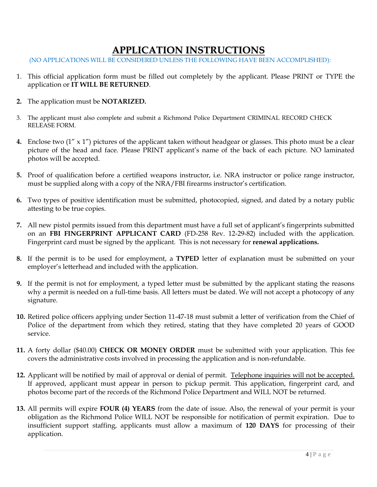## **APPLICATION INSTRUCTIONS**

(NO APPLICATIONS WILL BE CONSIDERED UNLESS THE FOLLOWING HAVE BEEN ACCOMPLISHED):

- 1. This official application form must be filled out completely by the applicant. Please PRINT or TYPE the application or **IT WILL BE RETURNED**.
- **2.** The application must be **NOTARIZED.**
- 3. The applicant must also complete and submit a Richmond Police Department CRIMINAL RECORD CHECK RELEASE FORM.
- **4.** Enclose two (1" x 1") pictures of the applicant taken without headgear or glasses. This photo must be a clear picture of the head and face. Please PRINT applicant's name of the back of each picture. NO laminated photos will be accepted.
- **5.** Proof of qualification before a certified weapons instructor, i.e. NRA instructor or police range instructor, must be supplied along with a copy of the NRA/FBI firearms instructor's certification.
- **6.** Two types of positive identification must be submitted, photocopied, signed, and dated by a notary public attesting to be true copies.
- **7.** All new pistol permits issued from this department must have a full set of applicant's fingerprints submitted on an **FBI FINGERPRINT APPLICANT CARD** (FD-258 Rev. 12-29-82) included with the application. Fingerprint card must be signed by the applicant. This is not necessary for **renewal applications.**
- **8.** If the permit is to be used for employment, a **TYPED** letter of explanation must be submitted on your employer's letterhead and included with the application.
- **9.** If the permit is not for employment, a typed letter must be submitted by the applicant stating the reasons why a permit is needed on a full-time basis. All letters must be dated. We will not accept a photocopy of any signature.
- **10.** Retired police officers applying under Section 11-47-18 must submit a letter of verification from the Chief of Police of the department from which they retired, stating that they have completed 20 years of GOOD service.
- **11.** A forty dollar (\$40.00) **CHECK OR MONEY ORDER** must be submitted with your application. This fee covers the administrative costs involved in processing the application and is non-refundable.
- **12.** Applicant will be notified by mail of approval or denial of permit. Telephone inquiries will not be accepted. If approved, applicant must appear in person to pickup permit. This application, fingerprint card, and photos become part of the records of the Richmond Police Department and WILL NOT be returned.
- **13.** All permits will expire **FOUR (4) YEARS** from the date of issue. Also, the renewal of your permit is your obligation as the Richmond Police WILL NOT be responsible for notification of permit expiration. Due to insufficient support staffing, applicants must allow a maximum of **120 DAYS** for processing of their application.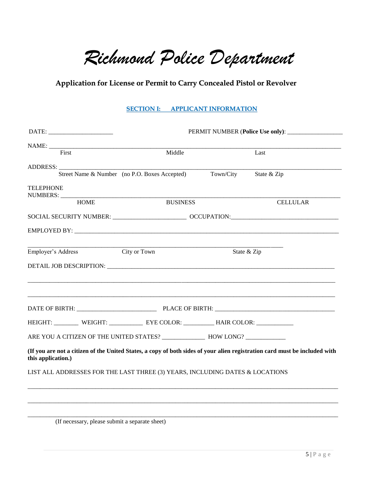*Richmond Police Department*

### **Application for License or Permit to Carry Concealed Pistol or Revolver**

#### **SECTION I: APPLICANT INFORMATION**

| First                                                                                   | Middle                                        |                                                                                                      | Last                                                                                                                       |  |
|-----------------------------------------------------------------------------------------|-----------------------------------------------|------------------------------------------------------------------------------------------------------|----------------------------------------------------------------------------------------------------------------------------|--|
|                                                                                         |                                               |                                                                                                      |                                                                                                                            |  |
|                                                                                         | Street Name & Number (no P.O. Boxes Accepted) | Town/City                                                                                            | State & Zip                                                                                                                |  |
| <b>TELEPHONE</b>                                                                        |                                               |                                                                                                      |                                                                                                                            |  |
| <b>HOME</b>                                                                             | <b>BUSINESS</b>                               | <b>CELLULAR</b>                                                                                      |                                                                                                                            |  |
|                                                                                         |                                               | SOCIAL SECURITY NUMBER: ___________________________________ OCCUPATION:_____________________________ |                                                                                                                            |  |
|                                                                                         |                                               |                                                                                                      |                                                                                                                            |  |
| Employer's Address                                                                      | City or Town                                  |                                                                                                      | State & Zip                                                                                                                |  |
|                                                                                         |                                               |                                                                                                      |                                                                                                                            |  |
|                                                                                         |                                               |                                                                                                      |                                                                                                                            |  |
|                                                                                         |                                               |                                                                                                      |                                                                                                                            |  |
|                                                                                         |                                               |                                                                                                      | DATE OF BIRTH: PLACE OF BIRTH: PLACE OF BIRTH:                                                                             |  |
| HEIGHT: __________ WEIGHT: _____________ EYE COLOR: ___________ HAIR COLOR: ___________ |                                               |                                                                                                      |                                                                                                                            |  |
|                                                                                         |                                               |                                                                                                      |                                                                                                                            |  |
| this application.)                                                                      |                                               |                                                                                                      | (If you are not a citizen of the United States, a copy of both sides of your alien registration card must be included with |  |
| LIST ALL ADDRESSES FOR THE LAST THREE (3) YEARS, INCLUDING DATES & LOCATIONS            |                                               |                                                                                                      |                                                                                                                            |  |
|                                                                                         |                                               |                                                                                                      |                                                                                                                            |  |
|                                                                                         |                                               |                                                                                                      |                                                                                                                            |  |

\_\_\_\_\_\_\_\_\_\_\_\_\_\_\_\_\_\_\_\_\_\_\_\_\_\_\_\_\_\_\_\_\_\_\_\_\_\_\_\_\_\_\_\_\_\_\_\_\_\_\_\_\_\_\_\_\_\_\_\_\_\_\_\_\_\_\_\_\_\_\_\_\_\_\_\_\_\_\_\_\_\_\_\_\_\_\_\_\_\_\_\_\_\_\_\_\_\_\_\_\_

(If necessary, please submit a separate sheet)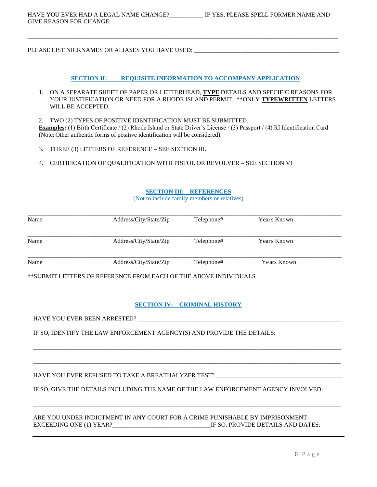PLEASE LIST NICKNAMES OR ALIASES YOU HAVE USED: \_\_\_\_\_\_\_\_\_\_\_\_\_\_\_\_\_\_\_\_\_\_\_\_\_\_\_\_\_\_\_\_

#### **SECTION II: REQUISITE INFORMATION TO ACCOMPANY APPLICATION**

\_\_\_\_\_\_\_\_\_\_\_\_\_\_\_\_\_\_\_\_\_\_\_\_\_\_\_\_\_\_\_\_\_\_\_\_\_\_\_\_\_\_\_\_\_\_\_\_\_\_\_\_\_\_\_\_\_\_\_\_\_\_\_\_\_\_\_\_\_\_\_\_\_\_\_\_\_\_\_\_\_\_\_\_\_\_\_\_\_\_\_\_\_\_\_\_\_\_\_\_\_

- 1. ON A SEPARATE SHEET OF PAPER OR LETTERHEAD, **TYPE** DETAILS AND SPECIFIC REASONS FOR YOUR JUSTIFICATION OR NEED FOR A RHODE ISLAND PERMIT. \*\*ONLY **TYPEWRITTEN** LETTERS WILL BE ACCEPTED.
- 2. TWO (2) TYPES OF POSITIVE IDENTIFICATION MUST BE SUBMITTED. **Examples:** (1) Birth Certificate / (2) Rhode Island or State Driver's License / (3) Passport / (4) RI Identification Card (Note: Other authentic forms of positive identification will be considered).
- 3. THREE (3) LETTERS OF REFERENCE SEE SECTION III.
- 4. CERTIFICATION OF QUALIFICATION WITH PISTOL OR REVOLVER SEE SECTION VI

#### **SECTION III: REFERENCES**

(Not to include family members or relatives)

| Name | Address/City/State/Zip | Telephone# | Years Known |  |
|------|------------------------|------------|-------------|--|
| Name | Address/City/State/Zip | Telephone# | Years Known |  |
| Name | Address/City/State/Zip | Telephone# | Years Known |  |

\*\*SUBMIT LETTERS OF REFERENCE FROM EACH OF THE ABOVE INDIVIDUALS

#### **SECTION IV: CRIMINAL HISTORY**

\_\_\_\_\_\_\_\_\_\_\_\_\_\_\_\_\_\_\_\_\_\_\_\_\_\_\_\_\_\_\_\_\_\_\_\_\_\_\_\_\_\_\_\_\_\_\_\_\_\_\_\_\_\_\_\_\_\_\_\_\_\_\_\_\_\_\_\_\_\_\_\_\_\_\_\_\_\_\_\_\_\_\_\_\_\_\_\_\_\_\_\_\_\_\_\_\_\_\_\_

\_\_\_\_\_\_\_\_\_\_\_\_\_\_\_\_\_\_\_\_\_\_\_\_\_\_\_\_\_\_\_\_\_\_\_\_\_\_\_\_\_\_\_\_\_\_\_\_\_\_\_\_\_\_\_\_\_\_\_\_\_\_\_\_\_\_\_\_\_\_\_\_\_\_\_\_\_\_\_\_\_\_\_\_\_\_\_\_\_\_\_\_\_\_\_\_\_\_\_\_

\_\_\_\_\_\_\_\_\_\_\_\_\_\_\_\_\_\_\_\_\_\_\_\_\_\_\_\_\_\_\_\_\_\_\_\_\_\_\_\_\_\_\_\_\_\_\_\_\_\_\_\_\_\_\_\_\_\_\_\_\_\_\_\_\_\_\_\_\_\_\_\_\_\_\_\_\_\_\_\_\_\_\_\_\_\_\_\_\_\_\_\_\_\_\_\_\_\_\_\_

HAVE YOU EVER BEEN ARRESTED?

IF SO, IDENTIFY THE LAW ENFORCEMENT AGENCY(S) AND PROVIDE THE DETAILS:

HAVE YOU EVER REFUSED TO TAKE A BREATHALYZER TEST?

IF SO, GIVE THE DETAILS INCLUDING THE NAME OF THE LAW ENFORCEMENT AGENCY INVOLVED:

ARE YOU UNDER INDICTMENT IN ANY COURT FOR A CRIME PUNISHABLE BY IMPRISONMENT EXCEEDING ONE (1) YEAR?<br>Let us a let us a let us a let us a let us a let us a let us a let us a let us a let us a let us a let us a le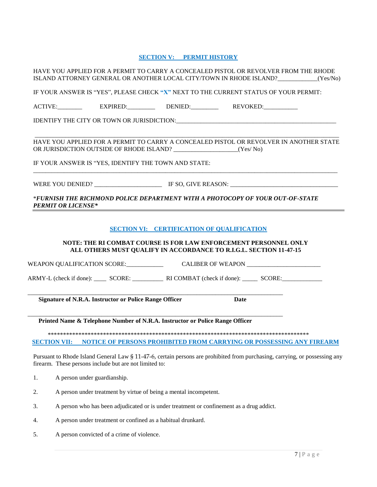### **SECTION V: PERMIT HISTORY**

|                                                                                                |                                                        | HAVE YOU APPLIED FOR A PERMIT TO CARRY A CONCEALED PISTOL OR REVOLVER FROM THE RHODE<br>ISLAND ATTORNEY GENERAL OR ANOTHER LOCAL CITY/TOWN IN RHODE ISLAND? (Yes/No)                                                    |             |  |  |
|------------------------------------------------------------------------------------------------|--------------------------------------------------------|-------------------------------------------------------------------------------------------------------------------------------------------------------------------------------------------------------------------------|-------------|--|--|
|                                                                                                |                                                        | IF YOUR ANSWER IS "YES", PLEASE CHECK "X" NEXT TO THE CURRENT STATUS OF YOUR PERMIT:                                                                                                                                    |             |  |  |
|                                                                                                |                                                        | ACTIVE: EXPIRED: DENIED: DENIED: REVOKED:                                                                                                                                                                               |             |  |  |
|                                                                                                |                                                        |                                                                                                                                                                                                                         |             |  |  |
|                                                                                                |                                                        | HAVE YOU APPLIED FOR A PERMIT TO CARRY A CONCEALED PISTOL OR REVOLVER IN ANOTHER STATE<br>IF YOUR ANSWER IS "YES, IDENTIFY THE TOWN AND STATE:                                                                          |             |  |  |
|                                                                                                |                                                        |                                                                                                                                                                                                                         |             |  |  |
| <b>PERMIT OR LICENSE*</b>                                                                      |                                                        | *FURNISH THE RICHMOND POLICE DEPARTMENT WITH A PHOTOCOPY OF YOUR OUT-OF-STATE                                                                                                                                           |             |  |  |
|                                                                                                |                                                        | <b>SECTION VI: CERTIFICATION OF QUALIFICATION</b><br>NOTE: THE RI COMBAT COURSE IS FOR LAW ENFORCEMENT PERSONNEL ONLY<br>ALL OTHERS MUST QUALIFY IN ACCORDANCE TO R.I.G.L. SECTION 11-47-15                             |             |  |  |
|                                                                                                |                                                        |                                                                                                                                                                                                                         |             |  |  |
|                                                                                                |                                                        | ARMY-L (check if done): _______ SCORE: _______________ RI COMBAT (check if done): _______ SCORE: ____________                                                                                                           |             |  |  |
|                                                                                                | Signature of N.R.A. Instructor or Police Range Officer |                                                                                                                                                                                                                         | <b>Date</b> |  |  |
|                                                                                                |                                                        | Printed Name & Telephone Number of N.R.A. Instructor or Police Range Officer                                                                                                                                            |             |  |  |
|                                                                                                |                                                        | <b>SECTION VII: NOTICE OF PERSONS PROHIBITED FROM CARRYING OR POSSESSING ANY FIREARM</b><br>Pursuant to Rhode Island General Law § 11-47-6, certain persons are prohibited from purchasing, carrying, or possessing any |             |  |  |
|                                                                                                | firearm. These persons include but are not limited to: |                                                                                                                                                                                                                         |             |  |  |
| 1.                                                                                             | A person under guardianship.                           |                                                                                                                                                                                                                         |             |  |  |
| 2.                                                                                             |                                                        | A person under treatment by virtue of being a mental incompetent.                                                                                                                                                       |             |  |  |
| 3.<br>A person who has been adjudicated or is under treatment or confinement as a drug addict. |                                                        |                                                                                                                                                                                                                         |             |  |  |

- 4. A person under treatment or confined as a habitual drunkard.
- 5. A person convicted of a crime of violence.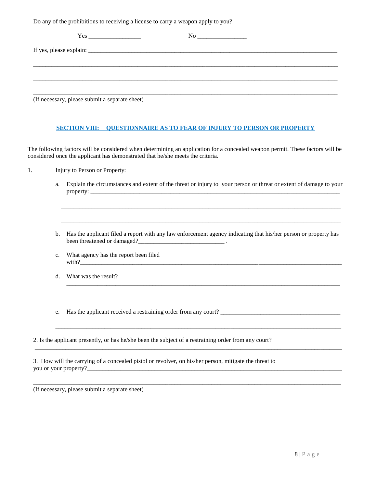Do any of the prohibitions to receiving a license to carry a weapon apply to you?

| (If necessary, please submit a separate sheet) |  |
|------------------------------------------------|--|

#### **SECTION VIII: QUESTIONNAIRE AS TO FEAR OF INJURY TO PERSON OR PROPERTY**

The following factors will be considered when determining an application for a concealed weapon permit. These factors will be considered once the applicant has demonstrated that he/she meets the criteria.

- 1. Injury to Person or Property:
	- a. Explain the circumstances and extent of the threat or injury to your person or threat or extent of damage to your  $property:$

\_\_\_\_\_\_\_\_\_\_\_\_\_\_\_\_\_\_\_\_\_\_\_\_\_\_\_\_\_\_\_\_\_\_\_\_\_\_\_\_\_\_\_\_\_\_\_\_\_\_\_\_\_\_\_\_\_\_\_\_\_\_\_\_\_\_\_\_\_\_\_\_\_\_\_\_\_\_\_\_\_\_\_\_\_\_\_\_\_\_\_

\_\_\_\_\_\_\_\_\_\_\_\_\_\_\_\_\_\_\_\_\_\_\_\_\_\_\_\_\_\_\_\_\_\_\_\_\_\_\_\_\_\_\_\_\_\_\_\_\_\_\_\_\_\_\_\_\_\_\_\_\_\_\_\_\_\_\_\_\_\_\_\_\_\_\_\_\_\_\_\_\_\_\_\_\_\_\_\_\_\_\_

b. Has the applicant filed a report with any law enforcement agency indicating that his/her person or property has been threatened or damaged?\_\_\_\_\_\_\_\_\_\_\_\_\_\_\_\_\_\_\_\_\_\_\_\_\_\_\_\_ .

\_\_\_\_\_\_\_\_\_\_\_\_\_\_\_\_\_\_\_\_\_\_\_\_\_\_\_\_\_\_\_\_\_\_\_\_\_\_\_\_\_\_\_\_\_\_\_\_\_\_\_\_\_\_\_\_\_\_\_\_\_\_\_\_\_\_\_\_\_\_\_\_\_\_\_\_\_\_\_\_\_\_\_\_\_\_\_\_\_

\_\_\_\_\_\_\_\_\_\_\_\_\_\_\_\_\_\_\_\_\_\_\_\_\_\_\_\_\_\_\_\_\_\_\_\_\_\_\_\_\_\_\_\_\_\_\_\_\_\_\_\_\_\_\_\_\_\_\_\_\_\_\_\_\_\_\_\_\_\_\_\_\_\_\_\_\_\_\_\_\_\_\_\_\_\_\_\_\_\_\_\_\_

\_\_\_\_\_\_\_\_\_\_\_\_\_\_\_\_\_\_\_\_\_\_\_\_\_\_\_\_\_\_\_\_\_\_\_\_\_\_\_\_\_\_\_\_\_\_\_\_\_\_\_\_\_\_\_\_\_\_\_\_\_\_\_\_\_\_\_\_\_\_\_\_\_\_\_\_\_\_\_\_\_\_\_\_\_\_\_\_\_\_\_\_\_\_\_\_\_\_\_\_

\_\_\_\_\_\_\_\_\_\_\_\_\_\_\_\_\_\_\_\_\_\_\_\_\_\_\_\_\_\_\_\_\_\_\_\_\_\_\_\_\_\_\_\_\_\_\_\_\_\_\_\_\_\_\_\_\_\_\_\_\_\_\_\_\_\_\_\_\_\_\_\_\_\_\_\_\_\_\_\_\_\_\_\_\_\_\_\_\_\_\_\_\_\_\_\_\_\_\_\_

- c. What agency has the report been filed with?\_\_\_\_\_\_\_\_\_\_\_\_\_\_\_\_\_\_\_\_\_\_\_\_\_\_\_\_\_\_\_\_\_\_\_\_\_\_\_\_\_\_\_\_\_\_\_\_\_\_\_\_\_\_\_\_\_\_\_\_\_\_\_\_\_\_\_\_\_\_\_\_\_\_\_\_\_\_\_\_\_\_\_\_\_
- d. What was the result?

e. Has the applicant received a restraining order from any court? \_\_\_\_\_\_\_\_\_\_\_\_\_\_\_\_\_\_\_\_\_\_\_\_\_\_\_\_\_\_\_\_\_\_\_\_\_\_\_

2. Is the applicant presently, or has he/she been the subject of a restraining order from any court?

\_\_\_\_\_\_\_\_\_\_\_\_\_\_\_\_\_\_\_\_\_\_\_\_\_\_\_\_\_\_\_\_\_\_\_\_\_\_\_\_\_\_\_\_\_\_\_\_\_\_\_\_\_\_\_\_\_\_\_\_\_\_\_\_\_\_\_\_\_\_\_\_\_\_\_\_\_\_\_\_\_\_\_\_\_\_\_\_\_\_\_\_\_

3. How will the carrying of a concealed pistol or revolver, on his/her person, mitigate the threat to you or your property?\_

(If necessary, please submit a separate sheet)